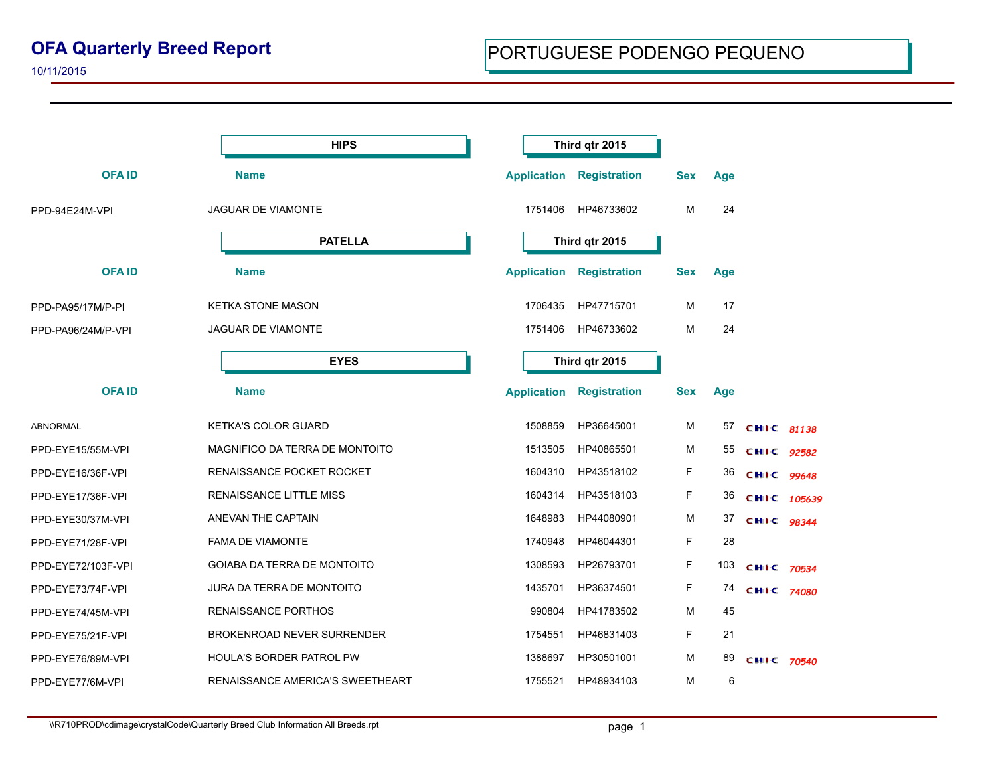## **OFA Quarterly Breed Report**

10/11/2015

|                    | <b>HIPS</b>                             | Third qtr 2015     |                     |            |     |                   |  |
|--------------------|-----------------------------------------|--------------------|---------------------|------------|-----|-------------------|--|
| <b>OFAID</b>       | <b>Name</b>                             | <b>Application</b> | <b>Registration</b> | <b>Sex</b> | Age |                   |  |
| PPD-94E24M-VPI     | JAGUAR DE VIAMONTE                      | 1751406            | HP46733602          | M          | 24  |                   |  |
|                    | <b>PATELLA</b>                          |                    | Third qtr 2015      |            |     |                   |  |
| <b>OFAID</b>       | <b>Name</b>                             | <b>Application</b> | <b>Registration</b> | <b>Sex</b> | Age |                   |  |
| PPD-PA95/17M/P-PI  | <b>KETKA STONE MASON</b>                | 1706435            | HP47715701          | м          | 17  |                   |  |
| PPD-PA96/24M/P-VPI | <b>JAGUAR DE VIAMONTE</b>               | 1751406            | HP46733602          | м          | 24  |                   |  |
|                    | <b>EYES</b>                             |                    | Third qtr 2015      |            |     |                   |  |
| <b>OFAID</b>       | <b>Name</b>                             | <b>Application</b> | <b>Registration</b> | <b>Sex</b> | Age |                   |  |
| ABNORMAL           | <b>KETKA'S COLOR GUARD</b>              | 1508859            | HP36645001          | м          |     | 57 CHIC 81138     |  |
| PPD-EYE15/55M-VPI  | MAGNIFICO DA TERRA DE MONTOITO          | 1513505            | HP40865501          | м          | 55  | CHIC 92582        |  |
| PPD-EYE16/36F-VPI  | RENAISSANCE POCKET ROCKET               | 1604310            | HP43518102          | F.         | 36  | CHIC 99648        |  |
| PPD-EYE17/36F-VPI  | <b>RENAISSANCE LITTLE MISS</b>          | 1604314            | HP43518103          | F.         | 36  | CHIC 105639       |  |
| PPD-EYE30/37M-VPI  | ANEVAN THE CAPTAIN                      | 1648983            | HP44080901          | м          | 37  | CHIC 98344        |  |
| PPD-EYE71/28F-VPI  | <b>FAMA DE VIAMONTE</b>                 | 1740948            | HP46044301          | F.         | 28  |                   |  |
| PPD-EYE72/103F-VPI | <b>GOIABA DA TERRA DE MONTOITO</b>      | 1308593            | HP26793701          | F.         | 103 | CHIC 70534        |  |
| PPD-EYE73/74F-VPI  | JURA DA TERRA DE MONTOITO               | 1435701            | HP36374501          | F.         | 74  | <b>CHIC 74080</b> |  |
| PPD-EYE74/45M-VPI  | <b>RENAISSANCE PORTHOS</b>              | 990804             | HP41783502          | м          | 45  |                   |  |
| PPD-EYE75/21F-VPI  | <b>BROKENROAD NEVER SURRENDER</b>       | 1754551            | HP46831403          | F.         | 21  |                   |  |
| PPD-EYE76/89M-VPI  | HOULA'S BORDER PATROL PW                | 1388697            | HP30501001          | м          | 89  | CHIC 70540        |  |
| PPD-EYE77/6M-VPI   | <b>RENAISSANCE AMERICA'S SWEETHEART</b> | 1755521            | HP48934103          | м          | 6   |                   |  |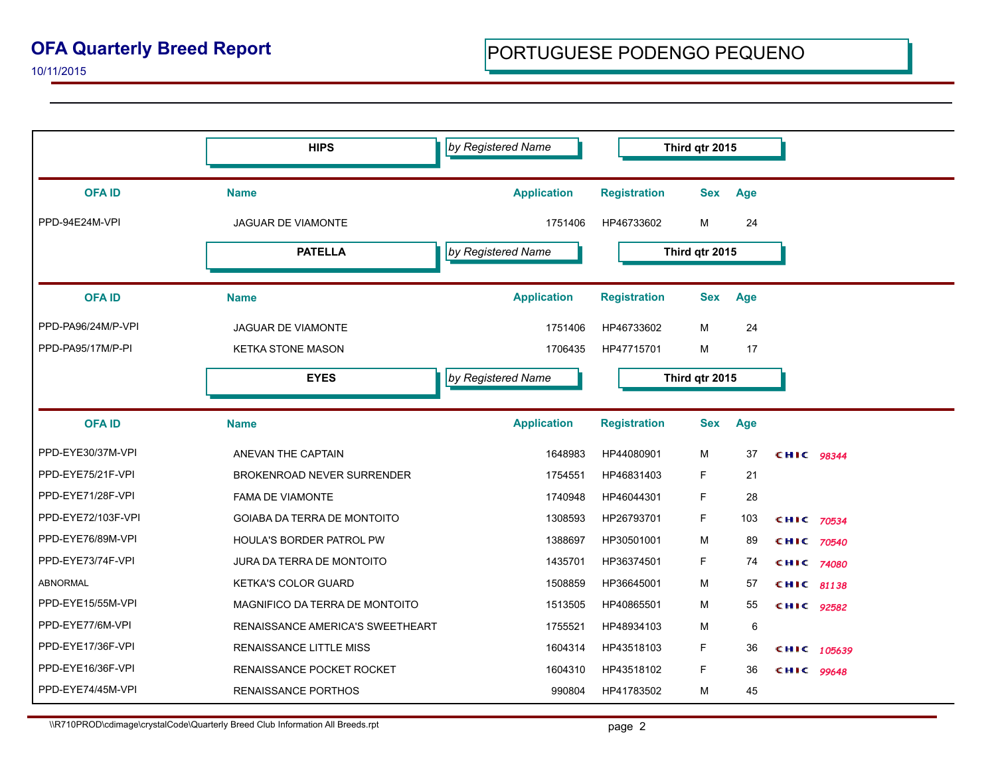## **OFA Quarterly Breed Report**

10/11/2015

|                    | <b>HIPS</b>                        | by Registered Name |                     | Third qtr 2015 |     |                   |
|--------------------|------------------------------------|--------------------|---------------------|----------------|-----|-------------------|
| <b>OFAID</b>       | <b>Name</b>                        | <b>Application</b> | <b>Registration</b> | <b>Sex</b>     | Age |                   |
| PPD-94E24M-VPI     | <b>JAGUAR DE VIAMONTE</b>          | 1751406            | HP46733602          | M              | 24  |                   |
|                    | <b>PATELLA</b>                     | by Registered Name |                     | Third qtr 2015 |     |                   |
| <b>OFAID</b>       | <b>Name</b>                        | <b>Application</b> | <b>Registration</b> | <b>Sex</b>     | Age |                   |
| PPD-PA96/24M/P-VPI | <b>JAGUAR DE VIAMONTE</b>          | 1751406            | HP46733602          | M              | 24  |                   |
| PPD-PA95/17M/P-PI  | <b>KETKA STONE MASON</b>           | 1706435            | HP47715701          | м              | 17  |                   |
|                    | <b>EYES</b>                        | by Registered Name | Third qtr 2015      |                |     |                   |
| <b>OFAID</b>       | <b>Name</b>                        | <b>Application</b> | <b>Registration</b> | <b>Sex</b>     | Age |                   |
| PPD-EYE30/37M-VPI  | ANEVAN THE CAPTAIN                 | 1648983            | HP44080901          | M              | 37  | <b>CHIC</b> 98344 |
| PPD-EYE75/21F-VPI  | <b>BROKENROAD NEVER SURRENDER</b>  | 1754551            | HP46831403          | F              | 21  |                   |
| PPD-EYE71/28F-VPI  | <b>FAMA DE VIAMONTE</b>            | 1740948            | HP46044301          | F              | 28  |                   |
| PPD-EYE72/103F-VPI | <b>GOIABA DA TERRA DE MONTOITO</b> | 1308593            | HP26793701          | F              | 103 | CHIC 70534        |
| PPD-EYE76/89M-VPI  | HOULA'S BORDER PATROL PW           | 1388697            | HP30501001          | M              | 89  | CHIC 70540        |
| PPD-EYE73/74F-VPI  | JURA DA TERRA DE MONTOITO          | 1435701            | HP36374501          | F              | 74  | CHIC 74080        |
| <b>ABNORMAL</b>    | <b>KETKA'S COLOR GUARD</b>         | 1508859            | HP36645001          | M              | 57  | CHIC 81138        |
| PPD-EYE15/55M-VPI  | MAGNIFICO DA TERRA DE MONTOITO     | 1513505            | HP40865501          | M              | 55  | CHIC 92582        |
| PPD-EYE77/6M-VPI   | RENAISSANCE AMERICA'S SWEETHEART   | 1755521            | HP48934103          | M              | 6   |                   |
| PPD-EYE17/36F-VPI  | <b>RENAISSANCE LITTLE MISS</b>     | 1604314            | HP43518103          | F              | 36  | CHIC 105639       |
| PPD-EYE16/36F-VPI  | RENAISSANCE POCKET ROCKET          | 1604310            | HP43518102          | F              | 36  | CHIC 99648        |
| PPD-EYE74/45M-VPI  | <b>RENAISSANCE PORTHOS</b>         | 990804             | HP41783502          | M              | 45  |                   |